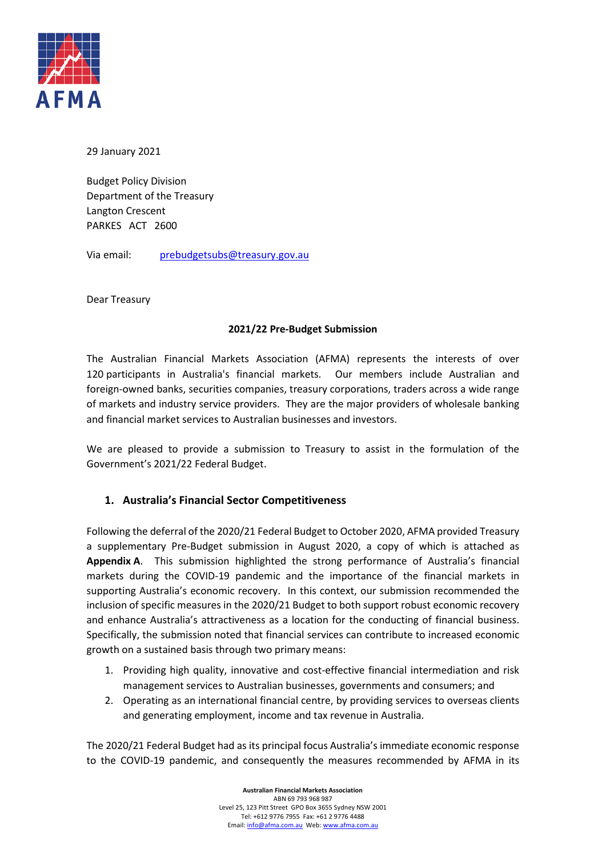

29 January 2021

Budget Policy Division Department of the Treasury Langton Crescent PARKES ACT 2600

Via email: [prebudgetsubs@treasury.gov.au](mailto:prebudgetsubs@treasury.gov.au)

Dear Treasury

## **2021/22 Pre-Budget Submission**

The Australian Financial Markets Association (AFMA) represents the interests of over 120 participants in Australia's financial markets. Our members include Australian and foreign-owned banks, securities companies, treasury corporations, traders across a wide range of markets and industry service providers. They are the major providers of wholesale banking and financial market services to Australian businesses and investors.

We are pleased to provide a submission to Treasury to assist in the formulation of the Government's 2021/22 Federal Budget.

## **1. Australia's Financial Sector Competitiveness**

Following the deferral of the 2020/21 Federal Budget to October 2020, AFMA provided Treasury a supplementary Pre-Budget submission in August 2020, a copy of which is attached as **Appendix A**. This submission highlighted the strong performance of Australia's financial markets during the COVID-19 pandemic and the importance of the financial markets in supporting Australia's economic recovery. In this context, our submission recommended the inclusion of specific measures in the 2020/21 Budget to both support robust economic recovery and enhance Australia's attractiveness as a location for the conducting of financial business. Specifically, the submission noted that financial services can contribute to increased economic growth on a sustained basis through two primary means:

- 1. Providing high quality, innovative and cost-effective financial intermediation and risk management services to Australian businesses, governments and consumers; and
- 2. Operating as an international financial centre, by providing services to overseas clients and generating employment, income and tax revenue in Australia.

The 2020/21 Federal Budget had as its principal focus Australia's immediate economic response to the COVID-19 pandemic, and consequently the measures recommended by AFMA in its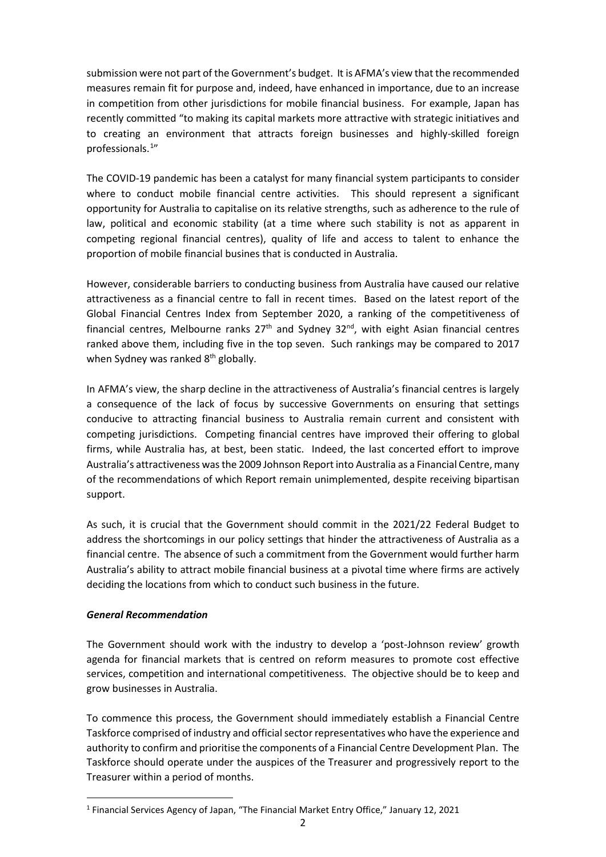submission were not part of the Government's budget. It is AFMA's view that the recommended measures remain fit for purpose and, indeed, have enhanced in importance, due to an increase in competition from other jurisdictions for mobile financial business. For example, Japan has recently committed "to making its capital markets more attractive with strategic initiatives and to creating an environment that attracts foreign businesses and highly-skilled foreign professionals.<sup>[1](#page-1-0)</sup>"

The COVID-19 pandemic has been a catalyst for many financial system participants to consider where to conduct mobile financial centre activities. This should represent a significant opportunity for Australia to capitalise on its relative strengths, such as adherence to the rule of law, political and economic stability (at a time where such stability is not as apparent in competing regional financial centres), quality of life and access to talent to enhance the proportion of mobile financial busines that is conducted in Australia.

However, considerable barriers to conducting business from Australia have caused our relative attractiveness as a financial centre to fall in recent times. Based on the latest report of the Global Financial Centres Index from September 2020, a ranking of the competitiveness of financial centres, Melbourne ranks  $27<sup>th</sup>$  and Sydney  $32<sup>nd</sup>$ , with eight Asian financial centres ranked above them, including five in the top seven. Such rankings may be compared to 2017 when Sydney was ranked 8<sup>th</sup> globally.

In AFMA's view, the sharp decline in the attractiveness of Australia's financial centres is largely a consequence of the lack of focus by successive Governments on ensuring that settings conducive to attracting financial business to Australia remain current and consistent with competing jurisdictions. Competing financial centres have improved their offering to global firms, while Australia has, at best, been static. Indeed, the last concerted effort to improve Australia's attractiveness was the 2009 Johnson Report into Australia as a Financial Centre,many of the recommendations of which Report remain unimplemented, despite receiving bipartisan support.

As such, it is crucial that the Government should commit in the 2021/22 Federal Budget to address the shortcomings in our policy settings that hinder the attractiveness of Australia as a financial centre. The absence of such a commitment from the Government would further harm Australia's ability to attract mobile financial business at a pivotal time where firms are actively deciding the locations from which to conduct such business in the future.

## *General Recommendation*

The Government should work with the industry to develop a 'post-Johnson review' growth agenda for financial markets that is centred on reform measures to promote cost effective services, competition and international competitiveness. The objective should be to keep and grow businesses in Australia.

To commence this process, the Government should immediately establish a Financial Centre Taskforce comprised of industry and official sector representatives who have the experience and authority to confirm and prioritise the components of a Financial Centre Development Plan. The Taskforce should operate under the auspices of the Treasurer and progressively report to the Treasurer within a period of months.

<span id="page-1-0"></span><sup>1</sup> Financial Services Agency of Japan, "The Financial Market Entry Office," January 12, 2021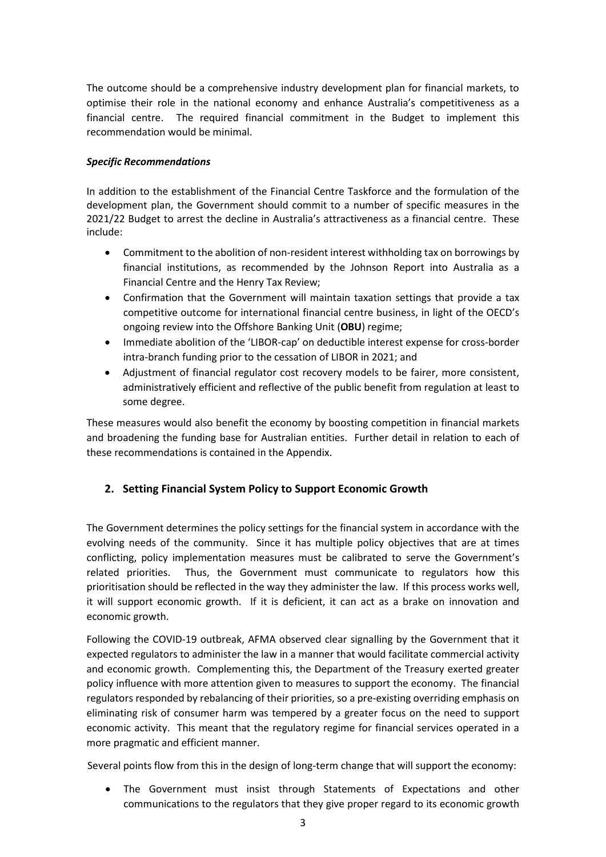The outcome should be a comprehensive industry development plan for financial markets, to optimise their role in the national economy and enhance Australia's competitiveness as a financial centre. The required financial commitment in the Budget to implement this recommendation would be minimal.

## *Specific Recommendations*

In addition to the establishment of the Financial Centre Taskforce and the formulation of the development plan, the Government should commit to a number of specific measures in the 2021/22 Budget to arrest the decline in Australia's attractiveness as a financial centre. These include:

- Commitment to the abolition of non-resident interest withholding tax on borrowings by financial institutions, as recommended by the Johnson Report into Australia as a Financial Centre and the Henry Tax Review;
- Confirmation that the Government will maintain taxation settings that provide a tax competitive outcome for international financial centre business, in light of the OECD's ongoing review into the Offshore Banking Unit (**OBU**) regime;
- Immediate abolition of the 'LIBOR-cap' on deductible interest expense for cross-border intra-branch funding prior to the cessation of LIBOR in 2021; and
- Adjustment of financial regulator cost recovery models to be fairer, more consistent, administratively efficient and reflective of the public benefit from regulation at least to some degree.

These measures would also benefit the economy by boosting competition in financial markets and broadening the funding base for Australian entities. Further detail in relation to each of these recommendations is contained in the Appendix.

## **2. Setting Financial System Policy to Support Economic Growth**

The Government determines the policy settings for the financial system in accordance with the evolving needs of the community. Since it has multiple policy objectives that are at times conflicting, policy implementation measures must be calibrated to serve the Government's related priorities. Thus, the Government must communicate to regulators how this prioritisation should be reflected in the way they administer the law. If this process works well, it will support economic growth. If it is deficient, it can act as a brake on innovation and economic growth.

Following the COVID-19 outbreak, AFMA observed clear signalling by the Government that it expected regulators to administer the law in a manner that would facilitate commercial activity and economic growth. Complementing this, the Department of the Treasury exerted greater policy influence with more attention given to measures to support the economy. The financial regulators responded by rebalancing of their priorities, so a pre-existing overriding emphasis on eliminating risk of consumer harm was tempered by a greater focus on the need to support economic activity. This meant that the regulatory regime for financial services operated in a more pragmatic and efficient manner.

Several points flow from this in the design of long-term change that will support the economy:

• The Government must insist through Statements of Expectations and other communications to the regulators that they give proper regard to its economic growth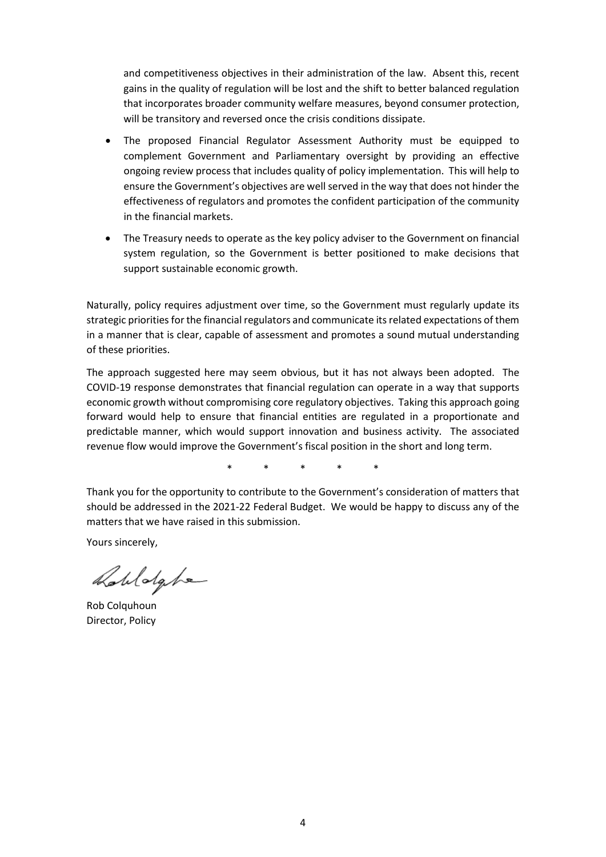and competitiveness objectives in their administration of the law. Absent this, recent gains in the quality of regulation will be lost and the shift to better balanced regulation that incorporates broader community welfare measures, beyond consumer protection, will be transitory and reversed once the crisis conditions dissipate.

- The proposed Financial Regulator Assessment Authority must be equipped to complement Government and Parliamentary oversight by providing an effective ongoing review process that includes quality of policy implementation. This will help to ensure the Government's objectives are well served in the way that does not hinder the effectiveness of regulators and promotes the confident participation of the community in the financial markets.
- The Treasury needs to operate as the key policy adviser to the Government on financial system regulation, so the Government is better positioned to make decisions that support sustainable economic growth.

Naturally, policy requires adjustment over time, so the Government must regularly update its strategic priorities for the financial regulators and communicate its related expectations of them in a manner that is clear, capable of assessment and promotes a sound mutual understanding of these priorities.

The approach suggested here may seem obvious, but it has not always been adopted. The COVID-19 response demonstrates that financial regulation can operate in a way that supports economic growth without compromising core regulatory objectives. Taking this approach going forward would help to ensure that financial entities are regulated in a proportionate and predictable manner, which would support innovation and business activity. The associated revenue flow would improve the Government's fiscal position in the short and long term.

\* \* \* \* \*

Thank you for the opportunity to contribute to the Government's consideration of matters that should be addressed in the 2021-22 Federal Budget. We would be happy to discuss any of the matters that we have raised in this submission.

Yours sincerely,

Robldghe

Rob Colquhoun Director, Policy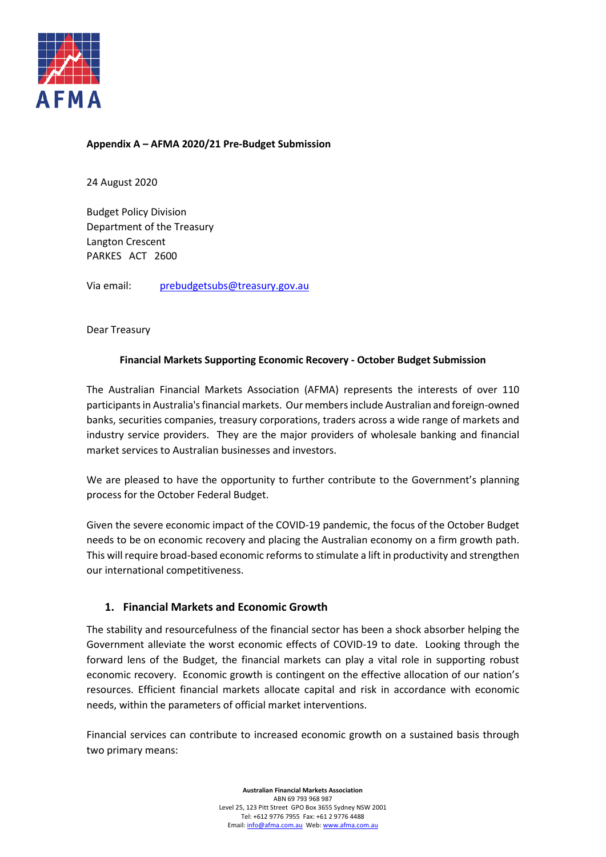

## **Appendix A – AFMA 2020/21 Pre-Budget Submission**

24 August 2020

Budget Policy Division Department of the Treasury Langton Crescent PARKES ACT 2600

Via email: [prebudgetsubs@treasury.gov.au](mailto:prebudgetsubs@treasury.gov.au)

Dear Treasury

## **Financial Markets Supporting Economic Recovery - October Budget Submission**

The Australian Financial Markets Association (AFMA) represents the interests of over 110 participants in Australia's financial markets. Our members include Australian and foreign-owned banks, securities companies, treasury corporations, traders across a wide range of markets and industry service providers. They are the major providers of wholesale banking and financial market services to Australian businesses and investors.

We are pleased to have the opportunity to further contribute to the Government's planning process for the October Federal Budget.

Given the severe economic impact of the COVID-19 pandemic, the focus of the October Budget needs to be on economic recovery and placing the Australian economy on a firm growth path. This will require broad-based economic reforms to stimulate a lift in productivity and strengthen our international competitiveness.

## **1. Financial Markets and Economic Growth**

The stability and resourcefulness of the financial sector has been a shock absorber helping the Government alleviate the worst economic effects of COVID-19 to date. Looking through the forward lens of the Budget, the financial markets can play a vital role in supporting robust economic recovery. Economic growth is contingent on the effective allocation of our nation's resources. Efficient financial markets allocate capital and risk in accordance with economic needs, within the parameters of official market interventions.

Financial services can contribute to increased economic growth on a sustained basis through two primary means:

> **Australian Financial Markets Association** ABN 69 793 968 987 Level 25, 123 Pitt Street GPO Box 3655 Sydney NSW 2001 Tel: +612 9776 7955 Fax: +61 2 9776 4488 Email[: info@afma.com.au](mailto:info@afma.com.au) Web[: www.afma.com.au](http://www.afma.com.au/)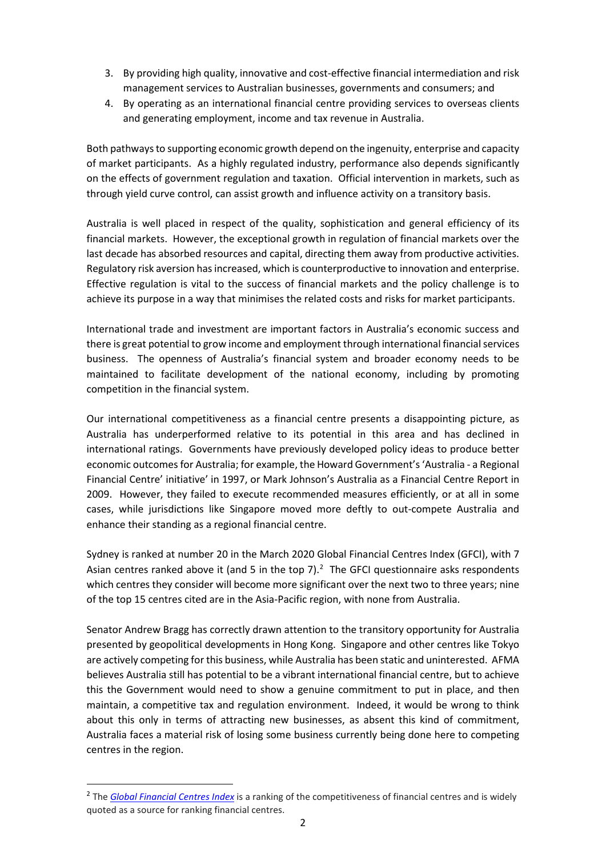- 3. By providing high quality, innovative and cost-effective financial intermediation and risk management services to Australian businesses, governments and consumers; and
- 4. By operating as an international financial centre providing services to overseas clients and generating employment, income and tax revenue in Australia.

Both pathways to supporting economic growth depend on the ingenuity, enterprise and capacity of market participants. As a highly regulated industry, performance also depends significantly on the effects of government regulation and taxation. Official intervention in markets, such as through yield curve control, can assist growth and influence activity on a transitory basis.

Australia is well placed in respect of the quality, sophistication and general efficiency of its financial markets. However, the exceptional growth in regulation of financial markets over the last decade has absorbed resources and capital, directing them away from productive activities. Regulatory risk aversion has increased, which is counterproductive to innovation and enterprise. Effective regulation is vital to the success of financial markets and the policy challenge is to achieve its purpose in a way that minimises the related costs and risks for market participants.

International trade and investment are important factors in Australia's economic success and there is great potential to grow income and employment through international financial services business. The openness of Australia's financial system and broader economy needs to be maintained to facilitate development of the national economy, including by promoting competition in the financial system.

Our international competitiveness as a financial centre presents a disappointing picture, as Australia has underperformed relative to its potential in this area and has declined in international ratings. Governments have previously developed policy ideas to produce better economic outcomes for Australia; for example, the Howard Government's 'Australia - a Regional Financial Centre' initiative' in 1997, or Mark Johnson's Australia as a Financial Centre Report in 2009. However, they failed to execute recommended measures efficiently, or at all in some cases, while jurisdictions like Singapore moved more deftly to out-compete Australia and enhance their standing as a regional financial centre.

Sydney is ranked at number 20 in the March 2020 Global Financial Centres Index (GFCI), with 7 Asian centres ranked above it (and 5 in the top  $7$ ).<sup>[2](#page-5-0)</sup> The GFCI questionnaire asks respondents which centres they consider will become more significant over the next two to three years; nine of the top 15 centres cited are in the Asia-Pacific region, with none from Australia.

Senator Andrew Bragg has correctly drawn attention to the transitory opportunity for Australia presented by geopolitical developments in Hong Kong. Singapore and other centres like Tokyo are actively competing for this business, while Australia has been static and uninterested. AFMA believes Australia still has potential to be a vibrant international financial centre, but to achieve this the Government would need to show a genuine commitment to put in place, and then maintain, a competitive tax and regulation environment. Indeed, it would be wrong to think about this only in terms of attracting new businesses, as absent this kind of commitment, Australia faces a material risk of losing some business currently being done here to competing centres in the region.

<span id="page-5-0"></span><sup>&</sup>lt;sup>2</sup> The *[Global Financial Centres Index](https://www.longfinance.net/programmes/financial-centre-futures/global-financial-centres-index/)* is a ranking of the competitiveness of financial centres and is widely quoted as a source for ranking financial centres.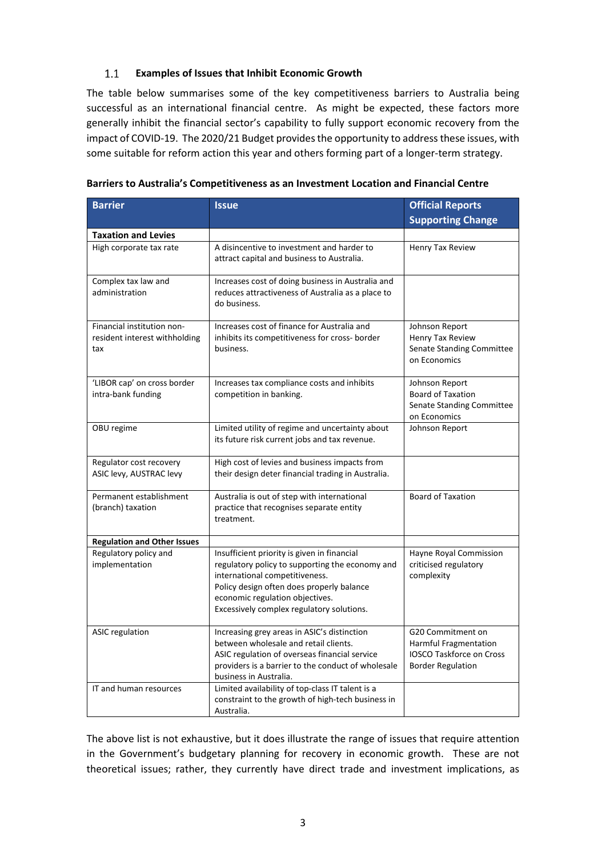#### $1.1$ **Examples of Issues that Inhibit Economic Growth**

The table below summarises some of the key competitiveness barriers to Australia being successful as an international financial centre. As might be expected, these factors more generally inhibit the financial sector's capability to fully support economic recovery from the impact of COVID-19. The 2020/21 Budget provides the opportunity to address these issues, with some suitable for reform action this year and others forming part of a longer-term strategy.

| <b>Barrier</b>                                                                                                                                                                                                                                  | <b>Issue</b>                                                                                                                                                                                                                                                  | <b>Official Reports</b>                                                                                   |
|-------------------------------------------------------------------------------------------------------------------------------------------------------------------------------------------------------------------------------------------------|---------------------------------------------------------------------------------------------------------------------------------------------------------------------------------------------------------------------------------------------------------------|-----------------------------------------------------------------------------------------------------------|
|                                                                                                                                                                                                                                                 |                                                                                                                                                                                                                                                               | <b>Supporting Change</b>                                                                                  |
| <b>Taxation and Levies</b>                                                                                                                                                                                                                      |                                                                                                                                                                                                                                                               |                                                                                                           |
| High corporate tax rate                                                                                                                                                                                                                         | A disincentive to investment and harder to<br>attract capital and business to Australia.                                                                                                                                                                      | Henry Tax Review                                                                                          |
| Complex tax law and<br>administration                                                                                                                                                                                                           | Increases cost of doing business in Australia and<br>reduces attractiveness of Australia as a place to<br>do business.                                                                                                                                        |                                                                                                           |
| Financial institution non-<br>resident interest withholding<br>tax                                                                                                                                                                              | Increases cost of finance for Australia and<br>inhibits its competitiveness for cross- border<br>business.                                                                                                                                                    | Johnson Report<br>Henry Tax Review<br>Senate Standing Committee<br>on Economics                           |
| 'LIBOR cap' on cross border<br>intra-bank funding                                                                                                                                                                                               | Increases tax compliance costs and inhibits<br>competition in banking.                                                                                                                                                                                        | Johnson Report<br><b>Board of Taxation</b><br>Senate Standing Committee<br>on Economics                   |
| OBU regime                                                                                                                                                                                                                                      | Limited utility of regime and uncertainty about<br>its future risk current jobs and tax revenue.                                                                                                                                                              | Johnson Report                                                                                            |
| Regulator cost recovery<br>ASIC levy, AUSTRAC levy                                                                                                                                                                                              | High cost of levies and business impacts from<br>their design deter financial trading in Australia.                                                                                                                                                           |                                                                                                           |
| Permanent establishment<br>(branch) taxation                                                                                                                                                                                                    | Australia is out of step with international<br>practice that recognises separate entity<br>treatment.                                                                                                                                                         | <b>Board of Taxation</b>                                                                                  |
| <b>Regulation and Other Issues</b>                                                                                                                                                                                                              |                                                                                                                                                                                                                                                               |                                                                                                           |
| Regulatory policy and<br>implementation                                                                                                                                                                                                         | Insufficient priority is given in financial<br>regulatory policy to supporting the economy and<br>international competitiveness.<br>Policy design often does properly balance<br>economic regulation objectives.<br>Excessively complex regulatory solutions. | Hayne Royal Commission<br>criticised regulatory<br>complexity                                             |
| <b>ASIC regulation</b><br>Increasing grey areas in ASIC's distinction<br>between wholesale and retail clients.<br>ASIC regulation of overseas financial service<br>providers is a barrier to the conduct of wholesale<br>business in Australia. |                                                                                                                                                                                                                                                               | G20 Commitment on<br>Harmful Fragmentation<br><b>IOSCO Taskforce on Cross</b><br><b>Border Regulation</b> |
| IT and human resources                                                                                                                                                                                                                          | Limited availability of top-class IT talent is a<br>constraint to the growth of high-tech business in<br>Australia.                                                                                                                                           |                                                                                                           |

| Barriers to Australia's Competitiveness as an Investment Location and Financial Centre |  |
|----------------------------------------------------------------------------------------|--|
|----------------------------------------------------------------------------------------|--|

The above list is not exhaustive, but it does illustrate the range of issues that require attention in the Government's budgetary planning for recovery in economic growth. These are not theoretical issues; rather, they currently have direct trade and investment implications, as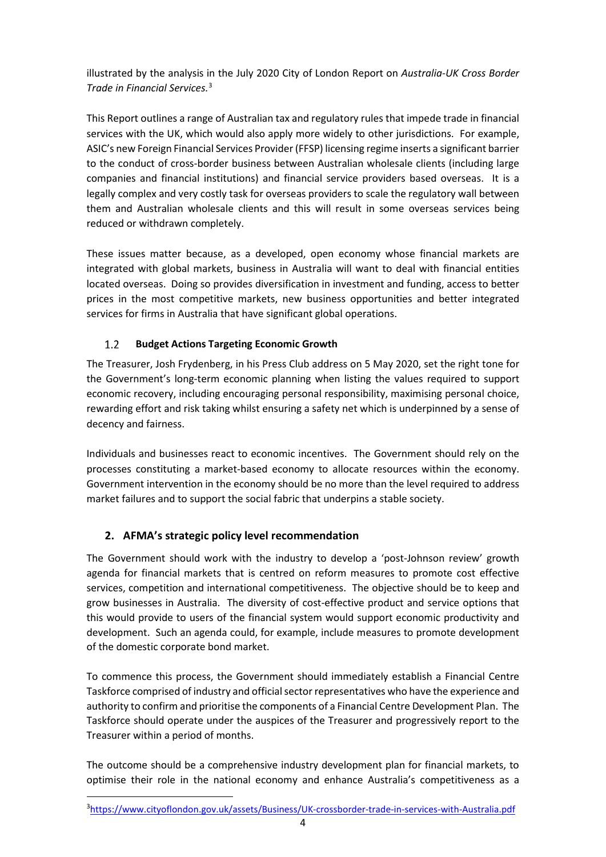illustrated by the analysis in the July 2020 City of London Report on *Australia-UK Cross Border Trade in Financial Services.* [3](#page-7-0)

This Report outlines a range of Australian tax and regulatory rules that impede trade in financial services with the UK, which would also apply more widely to other jurisdictions. For example, ASIC's new Foreign Financial Services Provider (FFSP) licensing regime inserts a significant barrier to the conduct of cross-border business between Australian wholesale clients (including large companies and financial institutions) and financial service providers based overseas. It is a legally complex and very costly task for overseas providers to scale the regulatory wall between them and Australian wholesale clients and this will result in some overseas services being reduced or withdrawn completely.

These issues matter because, as a developed, open economy whose financial markets are integrated with global markets, business in Australia will want to deal with financial entities located overseas. Doing so provides diversification in investment and funding, access to better prices in the most competitive markets, new business opportunities and better integrated services for firms in Australia that have significant global operations.

#### $1.2$ **Budget Actions Targeting Economic Growth**

The Treasurer, Josh Frydenberg, in his Press Club address on 5 May 2020, set the right tone for the Government's long-term economic planning when listing the values required to support economic recovery, including encouraging personal responsibility, maximising personal choice, rewarding effort and risk taking whilst ensuring a safety net which is underpinned by a sense of decency and fairness.

Individuals and businesses react to economic incentives. The Government should rely on the processes constituting a market-based economy to allocate resources within the economy. Government intervention in the economy should be no more than the level required to address market failures and to support the social fabric that underpins a stable society.

# **2. AFMA's strategic policy level recommendation**

The Government should work with the industry to develop a 'post-Johnson review' growth agenda for financial markets that is centred on reform measures to promote cost effective services, competition and international competitiveness. The objective should be to keep and grow businesses in Australia. The diversity of cost-effective product and service options that this would provide to users of the financial system would support economic productivity and development. Such an agenda could, for example, include measures to promote development of the domestic corporate bond market.

To commence this process, the Government should immediately establish a Financial Centre Taskforce comprised of industry and official sector representatives who have the experience and authority to confirm and prioritise the components of a Financial Centre Development Plan. The Taskforce should operate under the auspices of the Treasurer and progressively report to the Treasurer within a period of months.

<span id="page-7-0"></span>The outcome should be a comprehensive industry development plan for financial markets, to optimise their role in the national economy and enhance Australia's competitiveness as a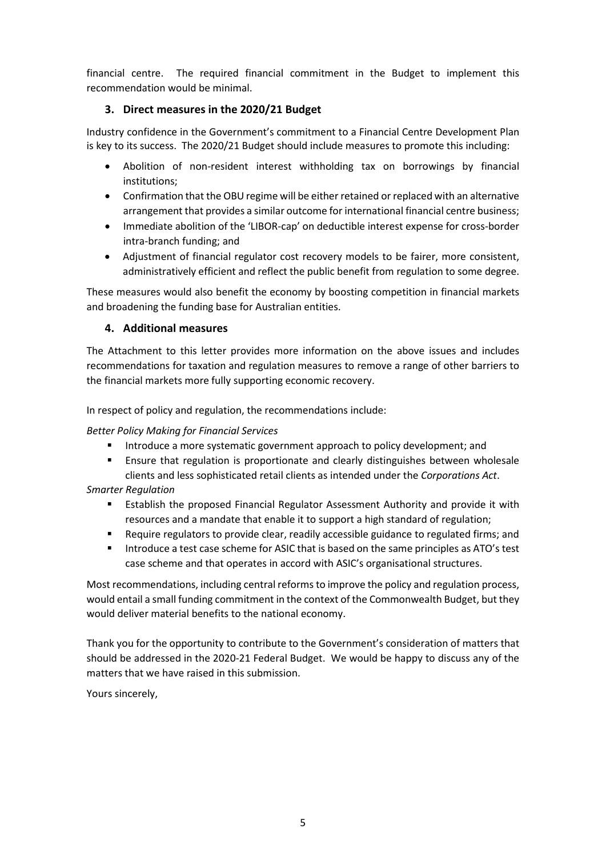financial centre. The required financial commitment in the Budget to implement this recommendation would be minimal.

## **3. Direct measures in the 2020/21 Budget**

Industry confidence in the Government's commitment to a Financial Centre Development Plan is key to its success. The 2020/21 Budget should include measures to promote this including:

- Abolition of non-resident interest withholding tax on borrowings by financial institutions;
- Confirmation that the OBU regime will be either retained or replaced with an alternative arrangement that provides a similar outcome for international financial centre business;
- Immediate abolition of the 'LIBOR-cap' on deductible interest expense for cross-border intra-branch funding; and
- Adjustment of financial regulator cost recovery models to be fairer, more consistent, administratively efficient and reflect the public benefit from regulation to some degree.

These measures would also benefit the economy by boosting competition in financial markets and broadening the funding base for Australian entities.

## **4. Additional measures**

The Attachment to this letter provides more information on the above issues and includes recommendations for taxation and regulation measures to remove a range of other barriers to the financial markets more fully supporting economic recovery.

In respect of policy and regulation, the recommendations include:

## *Better Policy Making for Financial Services*

- Introduce a more systematic government approach to policy development; and
- Ensure that regulation is proportionate and clearly distinguishes between wholesale clients and less sophisticated retail clients as intended under the *Corporations Act*.

## *Smarter Regulation*

- **Establish the proposed Financial Regulator Assessment Authority and provide it with** resources and a mandate that enable it to support a high standard of regulation;
- Require regulators to provide clear, readily accessible guidance to regulated firms; and
- **Introduce a test case scheme for ASIC that is based on the same principles as ATO's test** case scheme and that operates in accord with ASIC's organisational structures.

Most recommendations, including central reforms to improve the policy and regulation process, would entail a small funding commitment in the context of the Commonwealth Budget, but they would deliver material benefits to the national economy.

Thank you for the opportunity to contribute to the Government's consideration of matters that should be addressed in the 2020-21 Federal Budget. We would be happy to discuss any of the matters that we have raised in this submission.

Yours sincerely,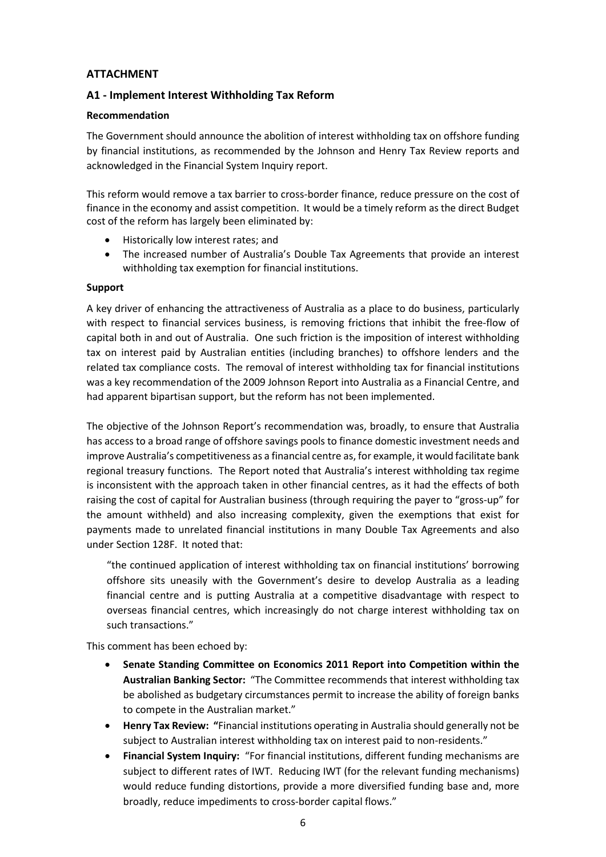## **ATTACHMENT**

## **A1 - Implement Interest Withholding Tax Reform**

#### **Recommendation**

The Government should announce the abolition of interest withholding tax on offshore funding by financial institutions, as recommended by the Johnson and Henry Tax Review reports and acknowledged in the Financial System Inquiry report.

This reform would remove a tax barrier to cross-border finance, reduce pressure on the cost of finance in the economy and assist competition. It would be a timely reform as the direct Budget cost of the reform has largely been eliminated by:

- Historically low interest rates; and
- The increased number of Australia's Double Tax Agreements that provide an interest withholding tax exemption for financial institutions.

#### **Support**

A key driver of enhancing the attractiveness of Australia as a place to do business, particularly with respect to financial services business, is removing frictions that inhibit the free-flow of capital both in and out of Australia. One such friction is the imposition of interest withholding tax on interest paid by Australian entities (including branches) to offshore lenders and the related tax compliance costs. The removal of interest withholding tax for financial institutions was a key recommendation of the 2009 Johnson Report into Australia as a Financial Centre, and had apparent bipartisan support, but the reform has not been implemented.

The objective of the Johnson Report's recommendation was, broadly, to ensure that Australia has access to a broad range of offshore savings pools to finance domestic investment needs and improve Australia's competitiveness as a financial centre as, for example, it would facilitate bank regional treasury functions. The Report noted that Australia's interest withholding tax regime is inconsistent with the approach taken in other financial centres, as it had the effects of both raising the cost of capital for Australian business (through requiring the payer to "gross-up" for the amount withheld) and also increasing complexity, given the exemptions that exist for payments made to unrelated financial institutions in many Double Tax Agreements and also under Section 128F. It noted that:

"the continued application of interest withholding tax on financial institutions' borrowing offshore sits uneasily with the Government's desire to develop Australia as a leading financial centre and is putting Australia at a competitive disadvantage with respect to overseas financial centres, which increasingly do not charge interest withholding tax on such transactions."

This comment has been echoed by:

- **Senate Standing Committee on Economics 2011 Report into Competition within the Australian Banking Sector:** "The Committee recommends that interest withholding tax be abolished as budgetary circumstances permit to increase the ability of foreign banks to compete in the Australian market."
- **Henry Tax Review: "**Financial institutions operating in Australia should generally not be subject to Australian interest withholding tax on interest paid to non-residents."
- **Financial System Inquiry:** "For financial institutions, different funding mechanisms are subject to different rates of IWT. Reducing IWT (for the relevant funding mechanisms) would reduce funding distortions, provide a more diversified funding base and, more broadly, reduce impediments to cross-border capital flows."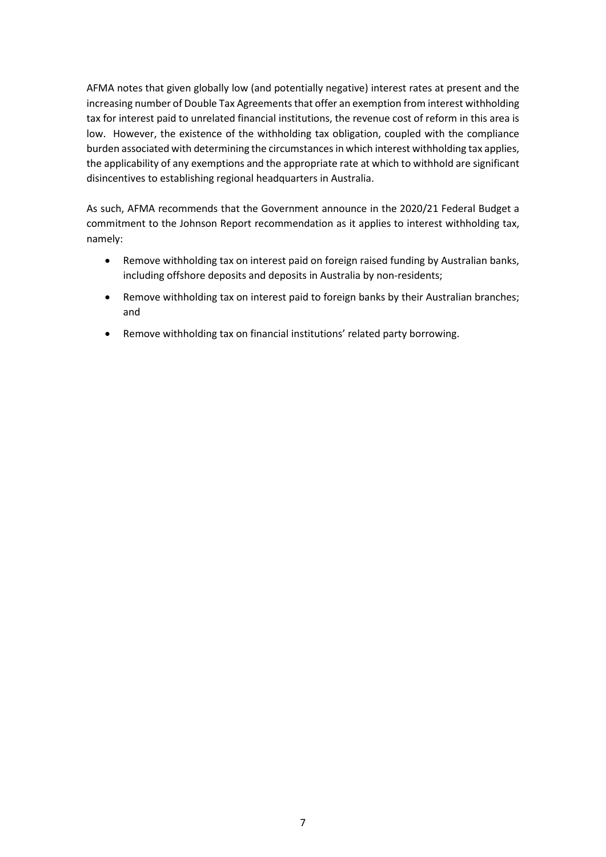AFMA notes that given globally low (and potentially negative) interest rates at present and the increasing number of Double Tax Agreements that offer an exemption from interest withholding tax for interest paid to unrelated financial institutions, the revenue cost of reform in this area is low. However, the existence of the withholding tax obligation, coupled with the compliance burden associated with determining the circumstances in which interest withholding tax applies, the applicability of any exemptions and the appropriate rate at which to withhold are significant disincentives to establishing regional headquarters in Australia.

As such, AFMA recommends that the Government announce in the 2020/21 Federal Budget a commitment to the Johnson Report recommendation as it applies to interest withholding tax, namely:

- Remove withholding tax on interest paid on foreign raised funding by Australian banks, including offshore deposits and deposits in Australia by non-residents;
- Remove withholding tax on interest paid to foreign banks by their Australian branches; and
- Remove withholding tax on financial institutions' related party borrowing.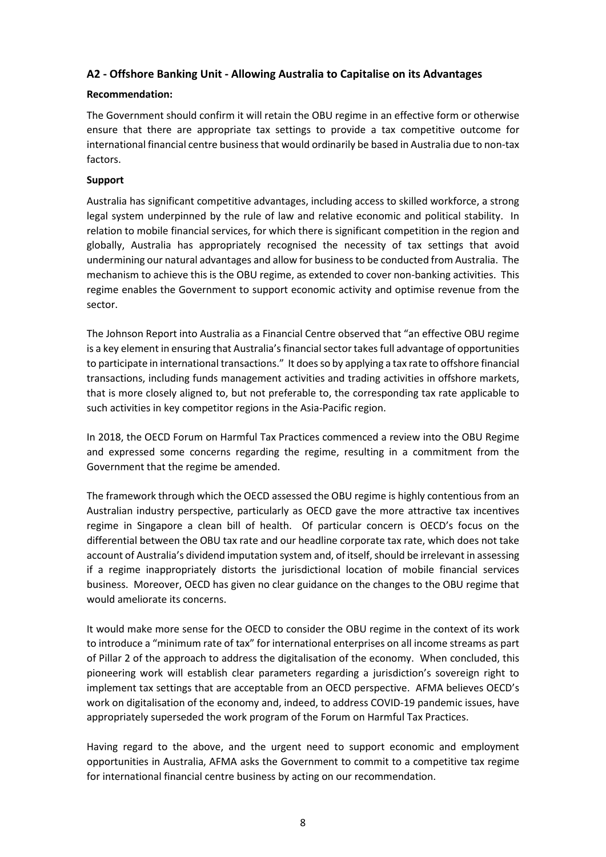## **A2 - Offshore Banking Unit - Allowing Australia to Capitalise on its Advantages**

## **Recommendation:**

The Government should confirm it will retain the OBU regime in an effective form or otherwise ensure that there are appropriate tax settings to provide a tax competitive outcome for international financial centre business that would ordinarily be based in Australia due to non-tax factors.

#### **Support**

Australia has significant competitive advantages, including access to skilled workforce, a strong legal system underpinned by the rule of law and relative economic and political stability. In relation to mobile financial services, for which there is significant competition in the region and globally, Australia has appropriately recognised the necessity of tax settings that avoid undermining our natural advantages and allow for business to be conducted from Australia. The mechanism to achieve this is the OBU regime, as extended to cover non-banking activities. This regime enables the Government to support economic activity and optimise revenue from the sector.

The Johnson Report into Australia as a Financial Centre observed that "an effective OBU regime is a key element in ensuring that Australia's financial sector takes full advantage of opportunities to participate in international transactions." It does so by applying a tax rate to offshore financial transactions, including funds management activities and trading activities in offshore markets, that is more closely aligned to, but not preferable to, the corresponding tax rate applicable to such activities in key competitor regions in the Asia-Pacific region.

In 2018, the OECD Forum on Harmful Tax Practices commenced a review into the OBU Regime and expressed some concerns regarding the regime, resulting in a commitment from the Government that the regime be amended.

The framework through which the OECD assessed the OBU regime is highly contentious from an Australian industry perspective, particularly as OECD gave the more attractive tax incentives regime in Singapore a clean bill of health. Of particular concern is OECD's focus on the differential between the OBU tax rate and our headline corporate tax rate, which does not take account of Australia's dividend imputation system and, of itself, should be irrelevant in assessing if a regime inappropriately distorts the jurisdictional location of mobile financial services business. Moreover, OECD has given no clear guidance on the changes to the OBU regime that would ameliorate its concerns.

It would make more sense for the OECD to consider the OBU regime in the context of its work to introduce a "minimum rate of tax" for international enterprises on all income streams as part of Pillar 2 of the approach to address the digitalisation of the economy. When concluded, this pioneering work will establish clear parameters regarding a jurisdiction's sovereign right to implement tax settings that are acceptable from an OECD perspective. AFMA believes OECD's work on digitalisation of the economy and, indeed, to address COVID-19 pandemic issues, have appropriately superseded the work program of the Forum on Harmful Tax Practices.

Having regard to the above, and the urgent need to support economic and employment opportunities in Australia, AFMA asks the Government to commit to a competitive tax regime for international financial centre business by acting on our recommendation.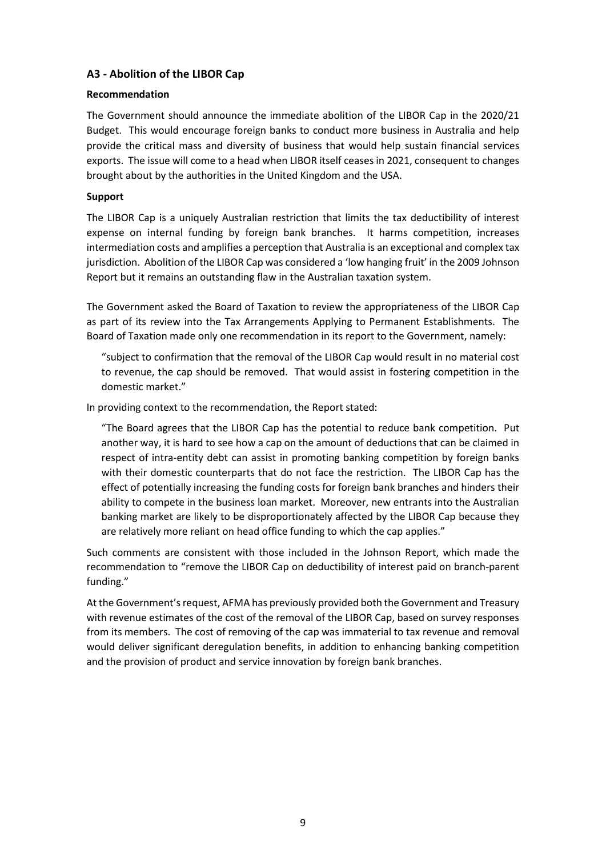## **A3 - Abolition of the LIBOR Cap**

## **Recommendation**

The Government should announce the immediate abolition of the LIBOR Cap in the 2020/21 Budget. This would encourage foreign banks to conduct more business in Australia and help provide the critical mass and diversity of business that would help sustain financial services exports. The issue will come to a head when LIBOR itself ceases in 2021, consequent to changes brought about by the authorities in the United Kingdom and the USA.

## **Support**

The LIBOR Cap is a uniquely Australian restriction that limits the tax deductibility of interest expense on internal funding by foreign bank branches. It harms competition, increases intermediation costs and amplifies a perception that Australia is an exceptional and complex tax jurisdiction. Abolition of the LIBOR Cap was considered a 'low hanging fruit' in the 2009 Johnson Report but it remains an outstanding flaw in the Australian taxation system.

The Government asked the Board of Taxation to review the appropriateness of the LIBOR Cap as part of its review into the Tax Arrangements Applying to Permanent Establishments. The Board of Taxation made only one recommendation in its report to the Government, namely:

"subject to confirmation that the removal of the LIBOR Cap would result in no material cost to revenue, the cap should be removed. That would assist in fostering competition in the domestic market."

In providing context to the recommendation, the Report stated:

"The Board agrees that the LIBOR Cap has the potential to reduce bank competition. Put another way, it is hard to see how a cap on the amount of deductions that can be claimed in respect of intra-entity debt can assist in promoting banking competition by foreign banks with their domestic counterparts that do not face the restriction. The LIBOR Cap has the effect of potentially increasing the funding costs for foreign bank branches and hinders their ability to compete in the business loan market. Moreover, new entrants into the Australian banking market are likely to be disproportionately affected by the LIBOR Cap because they are relatively more reliant on head office funding to which the cap applies."

Such comments are consistent with those included in the Johnson Report, which made the recommendation to "remove the LIBOR Cap on deductibility of interest paid on branch-parent funding."

At the Government's request, AFMA has previously provided both the Government and Treasury with revenue estimates of the cost of the removal of the LIBOR Cap, based on survey responses from its members. The cost of removing of the cap was immaterial to tax revenue and removal would deliver significant deregulation benefits, in addition to enhancing banking competition and the provision of product and service innovation by foreign bank branches.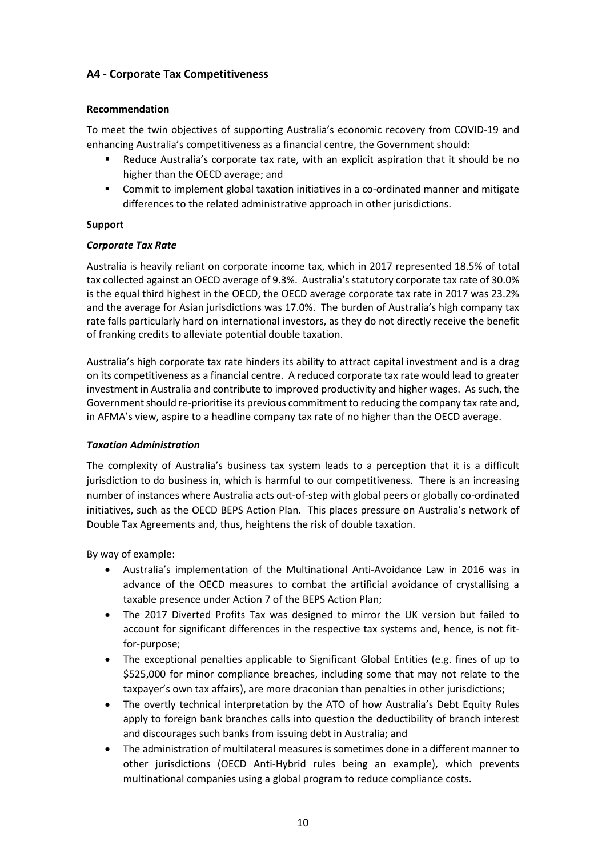## **A4 - Corporate Tax Competitiveness**

## **Recommendation**

To meet the twin objectives of supporting Australia's economic recovery from COVID-19 and enhancing Australia's competitiveness as a financial centre, the Government should:

- Reduce Australia's corporate tax rate, with an explicit aspiration that it should be no higher than the OECD average; and
- Commit to implement global taxation initiatives in a co-ordinated manner and mitigate differences to the related administrative approach in other jurisdictions.

## **Support**

## *Corporate Tax Rate*

Australia is heavily reliant on corporate income tax, which in 2017 represented 18.5% of total tax collected against an OECD average of 9.3%. Australia's statutory corporate tax rate of 30.0% is the equal third highest in the OECD, the OECD average corporate tax rate in 2017 was 23.2% and the average for Asian jurisdictions was 17.0%. The burden of Australia's high company tax rate falls particularly hard on international investors, as they do not directly receive the benefit of franking credits to alleviate potential double taxation.

Australia's high corporate tax rate hinders its ability to attract capital investment and is a drag on its competitiveness as a financial centre. A reduced corporate tax rate would lead to greater investment in Australia and contribute to improved productivity and higher wages. As such, the Government should re-prioritise its previous commitment to reducing the company tax rate and, in AFMA's view, aspire to a headline company tax rate of no higher than the OECD average.

#### *Taxation Administration*

The complexity of Australia's business tax system leads to a perception that it is a difficult jurisdiction to do business in, which is harmful to our competitiveness. There is an increasing number of instances where Australia acts out-of-step with global peers or globally co-ordinated initiatives, such as the OECD BEPS Action Plan. This places pressure on Australia's network of Double Tax Agreements and, thus, heightens the risk of double taxation.

By way of example:

- Australia's implementation of the Multinational Anti-Avoidance Law in 2016 was in advance of the OECD measures to combat the artificial avoidance of crystallising a taxable presence under Action 7 of the BEPS Action Plan;
- The 2017 Diverted Profits Tax was designed to mirror the UK version but failed to account for significant differences in the respective tax systems and, hence, is not fitfor-purpose;
- The exceptional penalties applicable to Significant Global Entities (e.g. fines of up to \$525,000 for minor compliance breaches, including some that may not relate to the taxpayer's own tax affairs), are more draconian than penalties in other jurisdictions;
- The overtly technical interpretation by the ATO of how Australia's Debt Equity Rules apply to foreign bank branches calls into question the deductibility of branch interest and discourages such banks from issuing debt in Australia; and
- The administration of multilateral measures is sometimes done in a different manner to other jurisdictions (OECD Anti-Hybrid rules being an example), which prevents multinational companies using a global program to reduce compliance costs.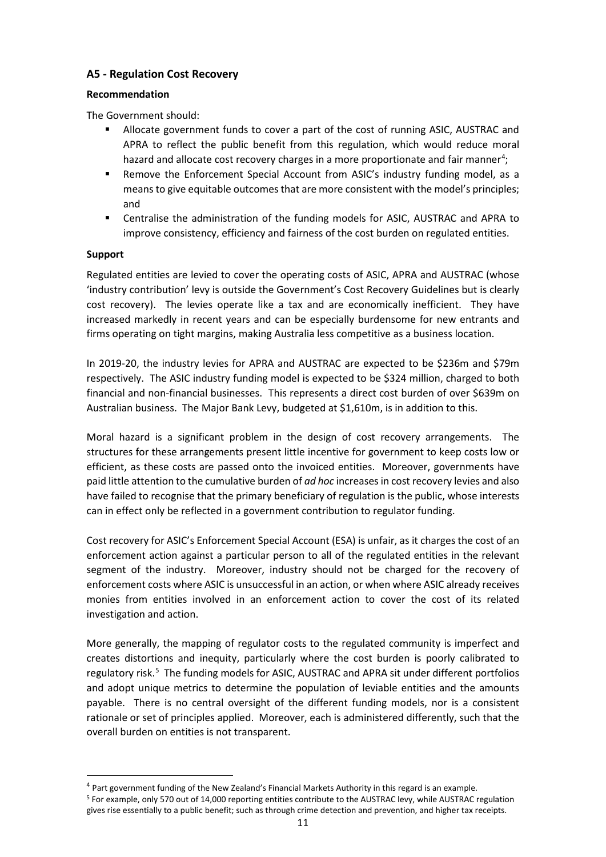## **A5 - Regulation Cost Recovery**

## **Recommendation**

The Government should:

- Allocate government funds to cover a part of the cost of running ASIC, AUSTRAC and APRA to reflect the public benefit from this regulation, which would reduce moral hazard and allocate cost recovery charges in a more proportionate and fair manner<sup>[4](#page-14-0)</sup>;
- Remove the Enforcement Special Account from ASIC's industry funding model, as a means to give equitable outcomes that are more consistent with the model's principles; and
- Centralise the administration of the funding models for ASIC, AUSTRAC and APRA to improve consistency, efficiency and fairness of the cost burden on regulated entities.

## **Support**

Regulated entities are levied to cover the operating costs of ASIC, APRA and AUSTRAC (whose 'industry contribution' levy is outside the Government's Cost Recovery Guidelines but is clearly cost recovery). The levies operate like a tax and are economically inefficient. They have increased markedly in recent years and can be especially burdensome for new entrants and firms operating on tight margins, making Australia less competitive as a business location.

In 2019-20, the industry levies for APRA and AUSTRAC are expected to be \$236m and \$79m respectively. The ASIC industry funding model is expected to be \$324 million, charged to both financial and non-financial businesses. This represents a direct cost burden of over \$639m on Australian business. The Major Bank Levy, budgeted at \$1,610m, is in addition to this.

Moral hazard is a significant problem in the design of cost recovery arrangements. The structures for these arrangements present little incentive for government to keep costs low or efficient, as these costs are passed onto the invoiced entities. Moreover, governments have paid little attention to the cumulative burden of *ad hoc* increases in cost recovery levies and also have failed to recognise that the primary beneficiary of regulation is the public, whose interests can in effect only be reflected in a government contribution to regulator funding.

Cost recovery for ASIC's Enforcement Special Account (ESA) is unfair, as it charges the cost of an enforcement action against a particular person to all of the regulated entities in the relevant segment of the industry. Moreover, industry should not be charged for the recovery of enforcement costs where ASIC is unsuccessful in an action, or when where ASIC already receives monies from entities involved in an enforcement action to cover the cost of its related investigation and action.

More generally, the mapping of regulator costs to the regulated community is imperfect and creates distortions and inequity, particularly where the cost burden is poorly calibrated to regulatory risk.<sup>[5](#page-14-1)</sup> The funding models for ASIC, AUSTRAC and APRA sit under different portfolios and adopt unique metrics to determine the population of leviable entities and the amounts payable. There is no central oversight of the different funding models, nor is a consistent rationale or set of principles applied. Moreover, each is administered differently, such that the overall burden on entities is not transparent.

<span id="page-14-0"></span><sup>4</sup> Part government funding of the New Zealand's Financial Markets Authority in this regard is an example.

<span id="page-14-1"></span><sup>5</sup> For example, only 570 out of 14,000 reporting entities contribute to the AUSTRAC levy, while AUSTRAC regulation gives rise essentially to a public benefit; such as through crime detection and prevention, and higher tax receipts.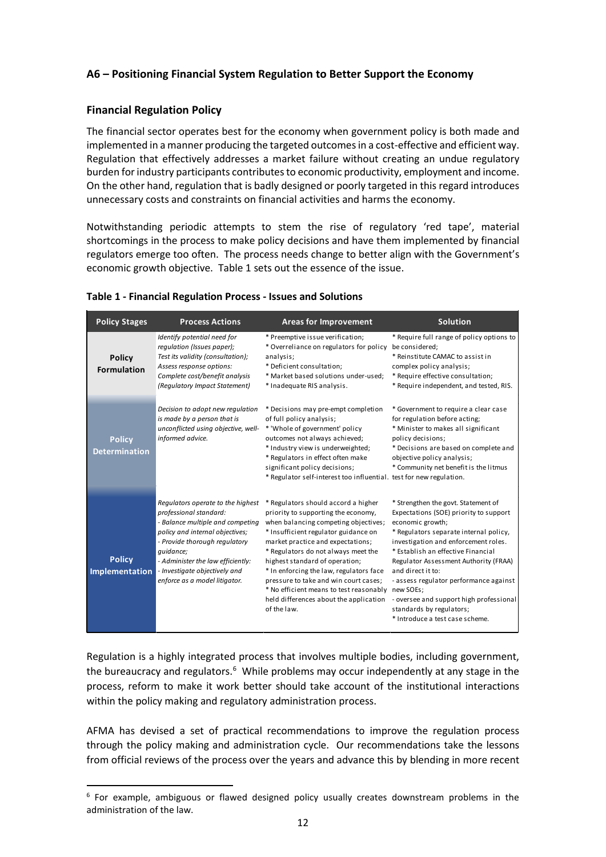## **A6 – Positioning Financial System Regulation to Better Support the Economy**

## **Financial Regulation Policy**

The financial sector operates best for the economy when government policy is both made and implemented in a manner producing the targeted outcomes in a cost-effective and efficient way. Regulation that effectively addresses a market failure without creating an undue regulatory burden for industry participants contributes to economic productivity, employment and income. On the other hand, regulation that is badly designed or poorly targeted in this regard introduces unnecessary costs and constraints on financial activities and harms the economy.

Notwithstanding periodic attempts to stem the rise of regulatory 'red tape', material shortcomings in the process to make policy decisions and have them implemented by financial regulators emerge too often. The process needs change to better align with the Government's economic growth objective. Table 1 sets out the essence of the issue.

| <b>Policy Stages</b>                   | <b>Process Actions</b>                                                                                                                                                                                                                                                                  | <b>Areas for Improvement</b>                                                                                                                                                                                                                                                                                                                                                                                                                                               | <b>Solution</b>                                                                                                                                                                                                                                                                                                                                                                                                                             |
|----------------------------------------|-----------------------------------------------------------------------------------------------------------------------------------------------------------------------------------------------------------------------------------------------------------------------------------------|----------------------------------------------------------------------------------------------------------------------------------------------------------------------------------------------------------------------------------------------------------------------------------------------------------------------------------------------------------------------------------------------------------------------------------------------------------------------------|---------------------------------------------------------------------------------------------------------------------------------------------------------------------------------------------------------------------------------------------------------------------------------------------------------------------------------------------------------------------------------------------------------------------------------------------|
| <b>Policy</b><br><b>Formulation</b>    | Identify potential need for<br>regulation (Issues paper);<br>Test its validity (consultation);<br>Assess response options:<br>Complete cost/benefit analysis<br>(Regulatory Impact Statement)                                                                                           | * Preemptive issue verification;<br>* Overreliance on regulators for policy<br>analysis;<br>* Deficient consultation;<br>* Market based solutions under-used;<br>* Inadequate RIS analysis.                                                                                                                                                                                                                                                                                | * Require full range of policy options to<br>be considered;<br>* Reinstitute CAMAC to assist in<br>complex policy analysis;<br>* Require effective consultation;<br>* Require independent, and tested, RIS.                                                                                                                                                                                                                                 |
| <b>Policy</b><br><b>Determination</b>  | Decision to adopt new regulation<br>is made by a person that is<br>unconflicted using objective, well-<br>informed advice.                                                                                                                                                              | * Decisions may pre-empt completion<br>of full policy analysis;<br>* 'Whole of government' policy<br>outcomes not always achieved;<br>* Industry view is underweighted;<br>* Regulators in effect often make<br>significant policy decisions;<br>* Regulator self-interest too influential. test for new regulation.                                                                                                                                                       | * Government to require a clear case<br>for regulation before acting;<br>* Minister to makes all significant<br>policy decisions;<br>* Decisions are based on complete and<br>objective policy analysis;<br>* Community net benefit is the litmus                                                                                                                                                                                           |
| <b>Policy</b><br><b>Implementation</b> | Regulators operate to the highest<br>professional standard:<br>- Balance multiple and competing<br>policy and internal objectives;<br>- Provide thorough regulatory<br>quidance;<br>- Administer the law efficiently:<br>- Investigate objectively and<br>enforce as a model litigator. | * Regulators should accord a higher<br>priority to supporting the economy,<br>when balancing competing objectives;<br>* Insufficient regulator guidance on<br>market practice and expectations;<br>* Regulators do not always meet the<br>highest standard of operation;<br>* In enforcing the law, regulators face<br>pressure to take and win court cases;<br>* No efficient means to test reasonably new SOEs;<br>held differences about the application<br>of the law. | * Strengthen the govt. Statement of<br>Expectations (SOE) priority to support<br>economic growth;<br>* Regulators separate internal policy,<br>investigation and enforcement roles.<br>* Establish an effective Financial<br>Regulator Assessment Authority (FRAA)<br>and direct it to:<br>- assess regulator performance against<br>- oversee and support high professional<br>standards by regulators;<br>* Introduce a test case scheme. |

#### **Table 1 - Financial Regulation Process - Issues and Solutions**

Regulation is a highly integrated process that involves multiple bodies, including government, the bureaucracy and regulators.<sup>[6](#page-15-0)</sup> While problems may occur independently at any stage in the process, reform to make it work better should take account of the institutional interactions within the policy making and regulatory administration process.

AFMA has devised a set of practical recommendations to improve the regulation process through the policy making and administration cycle. Our recommendations take the lessons from official reviews of the process over the years and advance this by blending in more recent

<span id="page-15-0"></span> $6$  For example, ambiguous or flawed designed policy usually creates downstream problems in the administration of the law.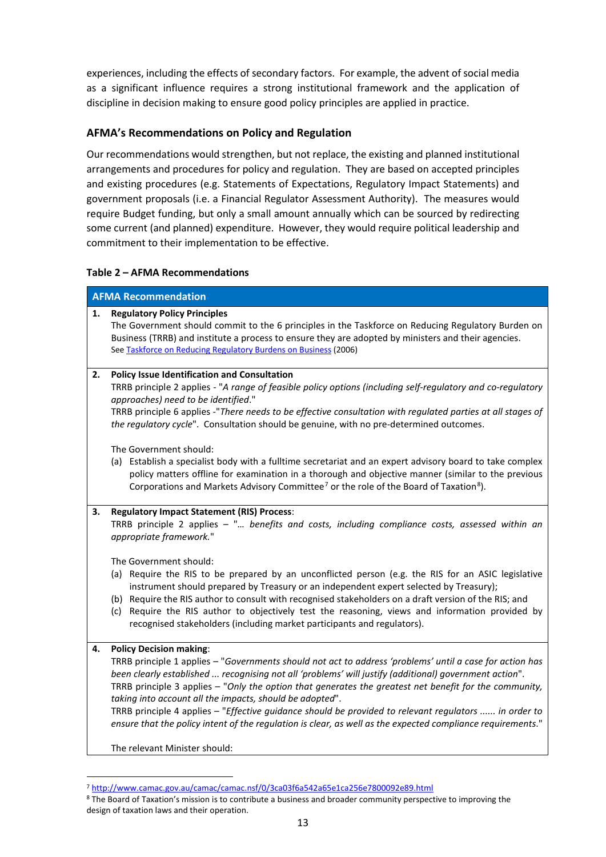experiences, including the effects of secondary factors. For example, the advent of social media as a significant influence requires a strong institutional framework and the application of discipline in decision making to ensure good policy principles are applied in practice.

## **AFMA's Recommendations on Policy and Regulation**

Our recommendations would strengthen, but not replace, the existing and planned institutional arrangements and procedures for policy and regulation. They are based on accepted principles and existing procedures (e.g. Statements of Expectations, Regulatory Impact Statements) and government proposals (i.e. a Financial Regulator Assessment Authority). The measures would require Budget funding, but only a small amount annually which can be sourced by redirecting some current (and planned) expenditure. However, they would require political leadership and commitment to their implementation to be effective.

## **Table 2 – AFMA Recommendations**

|    | <b>AFMA Recommendation</b>                                                                                                                                                                                                                                                                                                                                                                                                                                                                                                                                                                                                                                                                                                                                                       |  |  |
|----|----------------------------------------------------------------------------------------------------------------------------------------------------------------------------------------------------------------------------------------------------------------------------------------------------------------------------------------------------------------------------------------------------------------------------------------------------------------------------------------------------------------------------------------------------------------------------------------------------------------------------------------------------------------------------------------------------------------------------------------------------------------------------------|--|--|
| 1. | <b>Regulatory Policy Principles</b><br>The Government should commit to the 6 principles in the Taskforce on Reducing Regulatory Burden on<br>Business (TRRB) and institute a process to ensure they are adopted by ministers and their agencies.<br>See Taskforce on Reducing Regulatory Burdens on Business (2006)                                                                                                                                                                                                                                                                                                                                                                                                                                                              |  |  |
| 2. | <b>Policy Issue Identification and Consultation</b><br>TRRB principle 2 applies - "A range of feasible policy options (including self-regulatory and co-regulatory<br>approaches) need to be identified."<br>TRRB principle 6 applies -"There needs to be effective consultation with regulated parties at all stages of<br>the regulatory cycle". Consultation should be genuine, with no pre-determined outcomes.<br>The Government should:<br>(a) Establish a specialist body with a fulltime secretariat and an expert advisory board to take complex<br>policy matters offline for examination in a thorough and objective manner (similar to the previous<br>Corporations and Markets Advisory Committee <sup>7</sup> or the role of the Board of Taxation <sup>8</sup> ). |  |  |
| 3. | <b>Regulatory Impact Statement (RIS) Process:</b><br>TRRB principle 2 applies - " benefits and costs, including compliance costs, assessed within an<br>appropriate framework."<br>The Government should:<br>(a) Require the RIS to be prepared by an unconflicted person (e.g. the RIS for an ASIC legislative<br>instrument should prepared by Treasury or an independent expert selected by Treasury);<br>(b) Require the RIS author to consult with recognised stakeholders on a draft version of the RIS; and<br>(c) Require the RIS author to objectively test the reasoning, views and information provided by<br>recognised stakeholders (including market participants and regulators).                                                                                 |  |  |
| 4. | <b>Policy Decision making:</b><br>TRRB principle 1 applies - "Governments should not act to address 'problems' until a case for action has<br>been clearly established  recognising not all 'problems' will justify (additional) government action".<br>TRRB principle 3 applies - "Only the option that generates the greatest net benefit for the community,<br>taking into account all the impacts, should be adopted".<br>TRRB principle 4 applies - "Effective guidance should be provided to relevant regulators  in order to<br>ensure that the policy intent of the regulation is clear, as well as the expected compliance requirements."<br>The relevant Minister should:                                                                                              |  |  |

<sup>7</sup> <http://www.camac.gov.au/camac/camac.nsf/0/3ca03f6a542a65e1ca256e7800092e89.html>

<span id="page-16-1"></span><span id="page-16-0"></span><sup>&</sup>lt;sup>8</sup> The Board of Taxation's mission is to contribute a business and broader community perspective to improving the design of taxation laws and their operation.